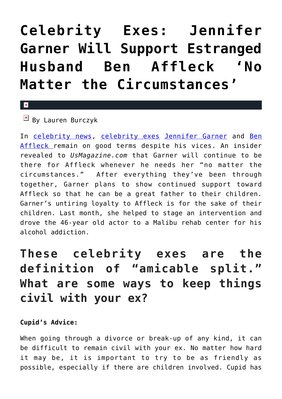## **[Celebrity Exes: Jennifer](https://cupidspulse.com/126526/celebrity-exes-jennifer-garner-support-ben-affleck-no-matter-cirucumstances/) [Garner Will Support Estranged](https://cupidspulse.com/126526/celebrity-exes-jennifer-garner-support-ben-affleck-no-matter-cirucumstances/) [Husband Ben Affleck 'No](https://cupidspulse.com/126526/celebrity-exes-jennifer-garner-support-ben-affleck-no-matter-cirucumstances/) [Matter the Circumstances'](https://cupidspulse.com/126526/celebrity-exes-jennifer-garner-support-ben-affleck-no-matter-cirucumstances/)**

## $\mathbf{x}$

 $\boxed{\mathbf{x}}$  By Lauren Burczyk

In [celebrity news](http://cupidspulse.com/celebrity-news/), [celebrity exes](http://cupidspulse.com/celebrity-relationships/break-up-divorce/) [Jennifer Garner](http://cupidspulse.com/94271/jennifer-garner/) and [Ben](http://cupidspulse.com/87708/ben-affleck/) [Affleck r](http://cupidspulse.com/87708/ben-affleck/)emain on good terms despite his vices. An insider revealed to *UsMagazine.com* that Garner will continue to be there for Affleck whenever he needs her "no matter the circumstances." After everything they've been through together, Garner plans to show continued support toward Affleck so that he can be a great father to their children. Garner's untiring loyalty to Affleck is for the sake of their children. Last month, she helped to stage an intervention and drove the 46-year old actor to a Malibu rehab center for his alcohol addiction.

## **These celebrity exes are the definition of "amicable split." What are some ways to keep things civil with your ex?**

## **Cupid's Advice:**

When going through a divorce or break-up of any kind, it can be difficult to remain civil with your ex. No matter how hard it may be, it is important to try to be as friendly as possible, especially if there are children involved. Cupid has